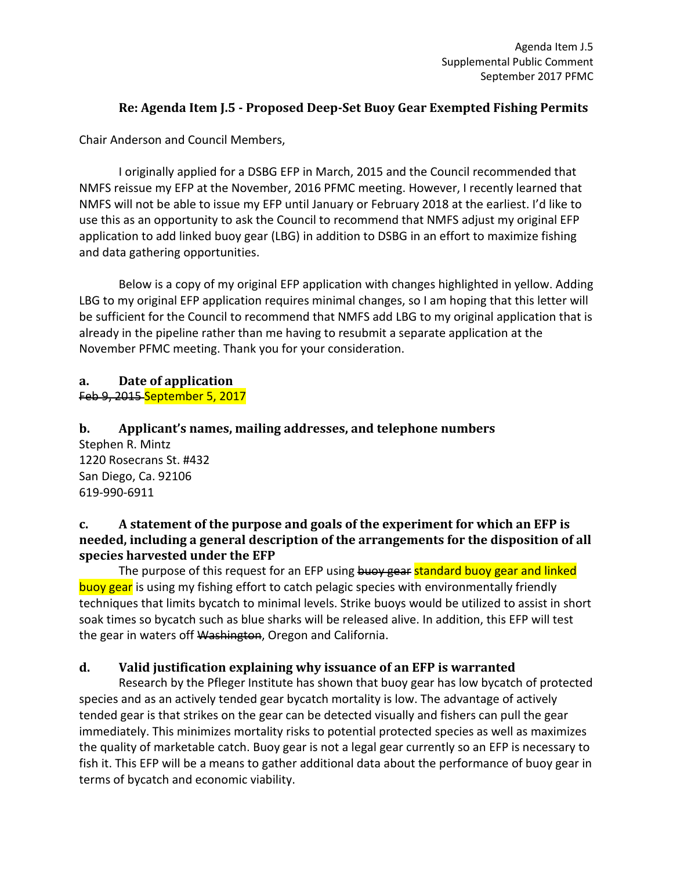# **Re: Agenda Item J.5 - Proposed Deep-Set Buoy Gear Exempted Fishing Permits**

Chair Anderson and Council Members,

I originally applied for a DSBG EFP in March, 2015 and the Council recommended that NMFS reissue my EFP at the November, 2016 PFMC meeting. However, I recently learned that NMFS will not be able to issue my EFP until January or February 2018 at the earliest. I'd like to use this as an opportunity to ask the Council to recommend that NMFS adjust my original EFP application to add linked buoy gear (LBG) in addition to DSBG in an effort to maximize fishing and data gathering opportunities.

Below is a copy of my original EFP application with changes highlighted in yellow. Adding LBG to my original EFP application requires minimal changes, so I am hoping that this letter will be sufficient for the Council to recommend that NMFS add LBG to my original application that is already in the pipeline rather than me having to resubmit a separate application at the November PFMC meeting. Thank you for your consideration.

### **a. Date of application** Feb 9, 2015 September 5, 2017

**b. Applicant's names, mailing addresses, and telephone numbers** Stephen R. Mintz 1220 Rosecrans St. #432 San Diego, Ca. 92106 619-990-6911

### **c. A statement of the purpose and goals of the experiment for which an EFP is needed, including a general description of the arrangements for the disposition of all species harvested under the EFP**

The purpose of this request for an EFP using buoy gear standard buoy gear and linked buoy gear is using my fishing effort to catch pelagic species with environmentally friendly techniques that limits bycatch to minimal levels. Strike buoys would be utilized to assist in short soak times so bycatch such as blue sharks will be released alive. In addition, this EFP will test the gear in waters off Washington, Oregon and California.

# **d. Valid justification explaining why issuance of an EFP is warranted**

Research by the Pfleger Institute has shown that buoy gear has low bycatch of protected species and as an actively tended gear bycatch mortality is low. The advantage of actively tended gear is that strikes on the gear can be detected visually and fishers can pull the gear immediately. This minimizes mortality risks to potential protected species as well as maximizes the quality of marketable catch. Buoy gear is not a legal gear currently so an EFP is necessary to fish it. This EFP will be a means to gather additional data about the performance of buoy gear in terms of bycatch and economic viability.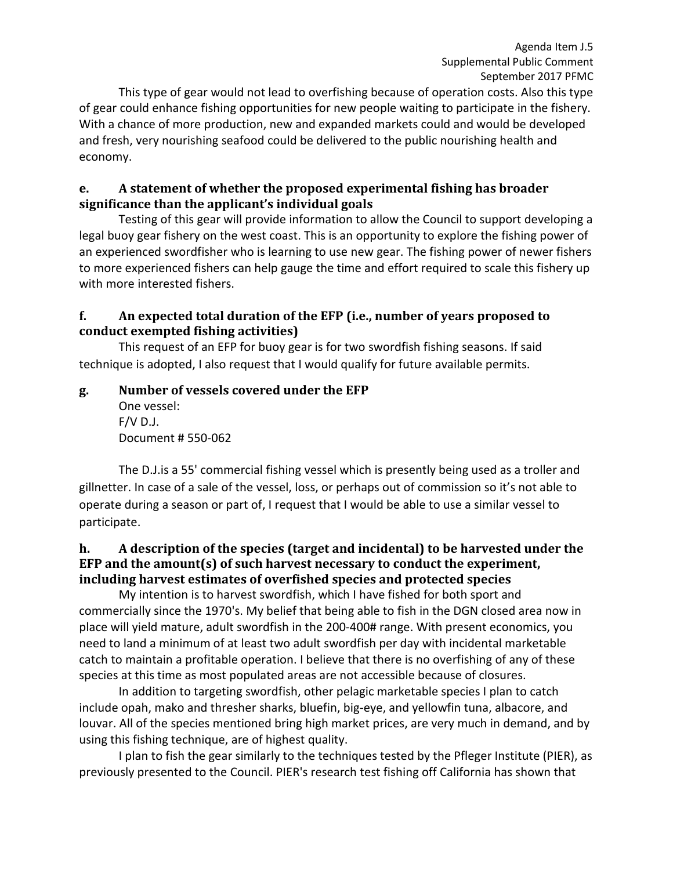This type of gear would not lead to overfishing because of operation costs. Also this type of gear could enhance fishing opportunities for new people waiting to participate in the fishery. With a chance of more production, new and expanded markets could and would be developed and fresh, very nourishing seafood could be delivered to the public nourishing health and economy.

### **e. A statement of whether the proposed experimental fishing has broader significance than the applicant's individual goals**

Testing of this gear will provide information to allow the Council to support developing a legal buoy gear fishery on the west coast. This is an opportunity to explore the fishing power of an experienced swordfisher who is learning to use new gear. The fishing power of newer fishers to more experienced fishers can help gauge the time and effort required to scale this fishery up with more interested fishers.

### **f. An expected total duration of the EFP (i.e., number of years proposed to conduct exempted fishing activities)**

This request of an EFP for buoy gear is for two swordfish fishing seasons. If said technique is adopted, I also request that I would qualify for future available permits.

### **g. Number of vessels covered under the EFP**  One vessel:  $F/V$  D.J. Document # 550-062

The D.J.is a 55' commercial fishing vessel which is presently being used as a troller and gillnetter. In case of a sale of the vessel, loss, or perhaps out of commission so it's not able to operate during a season or part of, I request that I would be able to use a similar vessel to participate.

# **h. A description of the species (target and incidental) to be harvested under the EFP and the amount(s) of such harvest necessary to conduct the experiment, including harvest estimates of overfished species and protected species**

My intention is to harvest swordfish, which I have fished for both sport and commercially since the 1970's. My belief that being able to fish in the DGN closed area now in place will yield mature, adult swordfish in the 200-400# range. With present economics, you need to land a minimum of at least two adult swordfish per day with incidental marketable catch to maintain a profitable operation. I believe that there is no overfishing of any of these species at this time as most populated areas are not accessible because of closures.

In addition to targeting swordfish, other pelagic marketable species I plan to catch include opah, mako and thresher sharks, bluefin, big-eye, and yellowfin tuna, albacore, and louvar. All of the species mentioned bring high market prices, are very much in demand, and by using this fishing technique, are of highest quality.

I plan to fish the gear similarly to the techniques tested by the Pfleger Institute (PIER), as previously presented to the Council. PIER's research test fishing off California has shown that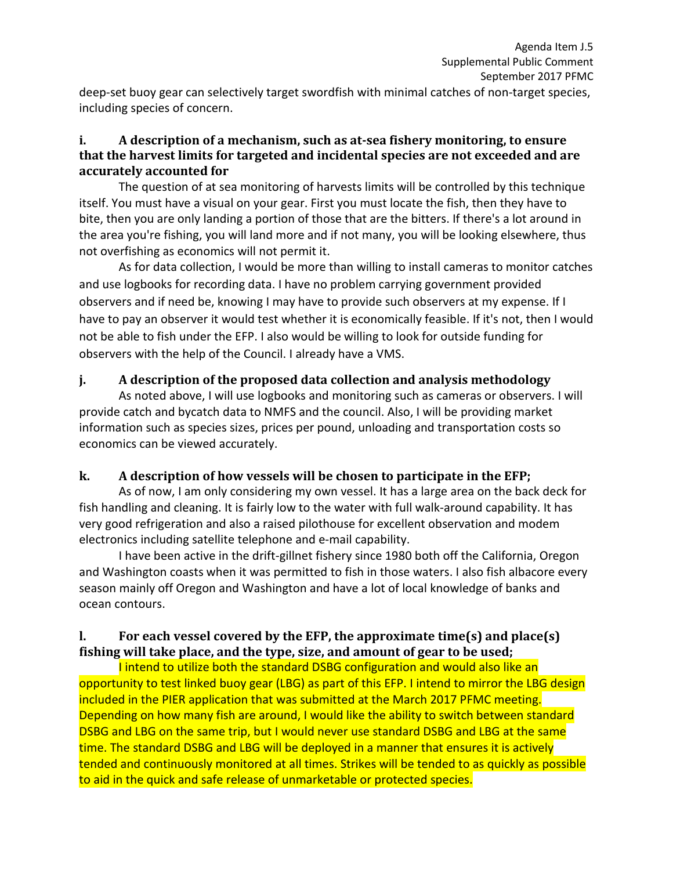deep-set buoy gear can selectively target swordfish with minimal catches of non-target species, including species of concern.

### **i. A description of a mechanism, such as at-sea fishery monitoring, to ensure that the harvest limits for targeted and incidental species are not exceeded and are accurately accounted for**

The question of at sea monitoring of harvests limits will be controlled by this technique itself. You must have a visual on your gear. First you must locate the fish, then they have to bite, then you are only landing a portion of those that are the bitters. If there's a lot around in the area you're fishing, you will land more and if not many, you will be looking elsewhere, thus not overfishing as economics will not permit it.

As for data collection, I would be more than willing to install cameras to monitor catches and use logbooks for recording data. I have no problem carrying government provided observers and if need be, knowing I may have to provide such observers at my expense. If I have to pay an observer it would test whether it is economically feasible. If it's not, then I would not be able to fish under the EFP. I also would be willing to look for outside funding for observers with the help of the Council. I already have a VMS.

### **j. A description of the proposed data collection and analysis methodology**

As noted above, I will use logbooks and monitoring such as cameras or observers. I will provide catch and bycatch data to NMFS and the council. Also, I will be providing market information such as species sizes, prices per pound, unloading and transportation costs so economics can be viewed accurately.

# **k. A description of how vessels will be chosen to participate in the EFP;**

As of now, I am only considering my own vessel. It has a large area on the back deck for fish handling and cleaning. It is fairly low to the water with full walk-around capability. It has very good refrigeration and also a raised pilothouse for excellent observation and modem electronics including satellite telephone and e-mail capability.

I have been active in the drift-gillnet fishery since 1980 both off the California, Oregon and Washington coasts when it was permitted to fish in those waters. I also fish albacore every season mainly off Oregon and Washington and have a lot of local knowledge of banks and ocean contours.

# **l. For each vessel covered by the EFP, the approximate time(s) and place(s) fishing will take place, and the type, size, and amount of gear to be used;**

I intend to utilize both the standard DSBG configuration and would also like an opportunity to test linked buoy gear (LBG) as part of this EFP. I intend to mirror the LBG design included in the PIER application that was submitted at the March 2017 PFMC meeting. Depending on how many fish are around, I would like the ability to switch between standard DSBG and LBG on the same trip, but I would never use standard DSBG and LBG at the same time. The standard DSBG and LBG will be deployed in a manner that ensures it is actively tended and continuously monitored at all times. Strikes will be tended to as quickly as possible to aid in the quick and safe release of unmarketable or protected species.